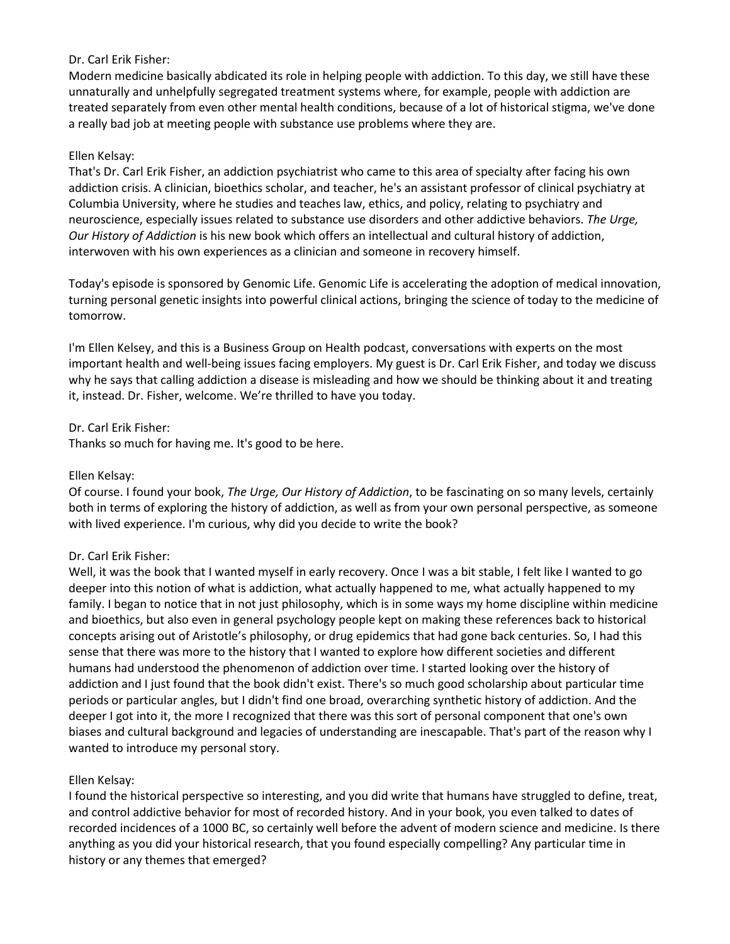# Dr. Carl Erik Fisher:

Modern medicine basically abdicated its role in helping people with addiction. To this day, we still have these unnaturally and unhelpfully segregated treatment systems where, for example, people with addiction are treated separately from even other mental health conditions, because of a lot of historical stigma, we've done a really bad job at meeting people with substance use problems where they are.

# Ellen Kelsay:

That's Dr. Carl Erik Fisher, an addiction psychiatrist who came to this area of specialty after facing his own addiction crisis. A clinician, bioethics scholar, and teacher, he's an assistant professor of clinical psychiatry at Columbia University, where he studies and teaches law, ethics, and policy, relating to psychiatry and neuroscience, especially issues related to substance use disorders and other addictive behaviors. *The Urge, Our History of Addiction* is his new book which offers an intellectual and cultural history of addiction, interwoven with his own experiences as a clinician and someone in recovery himself.

Today's episode is sponsored by Genomic Life. Genomic Life is accelerating the adoption of medical innovation, turning personal genetic insights into powerful clinical actions, bringing the science of today to the medicine of tomorrow.

I'm Ellen Kelsey, and this is a Business Group on Health podcast, conversations with experts on the most important health and well-being issues facing employers. My guest is Dr. Carl Erik Fisher, and today we discuss why he says that calling addiction a disease is misleading and how we should be thinking about it and treating it, instead. Dr. Fisher, welcome. We're thrilled to have you today.

Dr. Carl Erik Fisher:

Thanks so much for having me. It's good to be here.

# Ellen Kelsay:

Of course. I found your book, *The Urge, Our History of Addiction*, to be fascinating on so many levels, certainly both in terms of exploring the history of addiction, as well as from your own personal perspective, as someone with lived experience. I'm curious, why did you decide to write the book?

# Dr. Carl Erik Fisher:

Well, it was the book that I wanted myself in early recovery. Once I was a bit stable, I felt like I wanted to go deeper into this notion of what is addiction, what actually happened to me, what actually happened to my family. I began to notice that in not just philosophy, which is in some ways my home discipline within medicine and bioethics, but also even in general psychology people kept on making these references back to historical concepts arising out of Aristotle's philosophy, or drug epidemics that had gone back centuries. So, I had this sense that there was more to the history that I wanted to explore how different societies and different humans had understood the phenomenon of addiction over time. I started looking over the history of addiction and I just found that the book didn't exist. There's so much good scholarship about particular time periods or particular angles, but I didn't find one broad, overarching synthetic history of addiction. And the deeper I got into it, the more I recognized that there was this sort of personal component that one's own biases and cultural background and legacies of understanding are inescapable. That's part of the reason why I wanted to introduce my personal story.

## Ellen Kelsay:

I found the historical perspective so interesting, and you did write that humans have struggled to define, treat, and control addictive behavior for most of recorded history. And in your book, you even talked to dates of recorded incidences of a 1000 BC, so certainly well before the advent of modern science and medicine. Is there anything as you did your historical research, that you found especially compelling? Any particular time in history or any themes that emerged?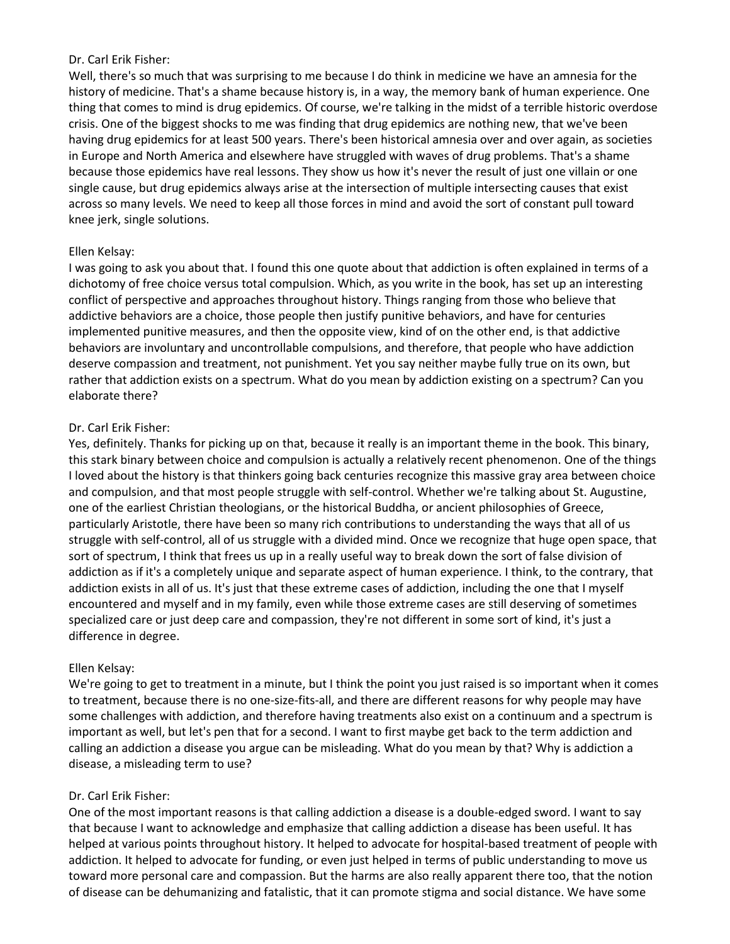### Dr. Carl Erik Fisher:

Well, there's so much that was surprising to me because I do think in medicine we have an amnesia for the history of medicine. That's a shame because history is, in a way, the memory bank of human experience. One thing that comes to mind is drug epidemics. Of course, we're talking in the midst of a terrible historic overdose crisis. One of the biggest shocks to me was finding that drug epidemics are nothing new, that we've been having drug epidemics for at least 500 years. There's been historical amnesia over and over again, as societies in Europe and North America and elsewhere have struggled with waves of drug problems. That's a shame because those epidemics have real lessons. They show us how it's never the result of just one villain or one single cause, but drug epidemics always arise at the intersection of multiple intersecting causes that exist across so many levels. We need to keep all those forces in mind and avoid the sort of constant pull toward knee jerk, single solutions.

## Ellen Kelsay:

I was going to ask you about that. I found this one quote about that addiction is often explained in terms of a dichotomy of free choice versus total compulsion. Which, as you write in the book, has set up an interesting conflict of perspective and approaches throughout history. Things ranging from those who believe that addictive behaviors are a choice, those people then justify punitive behaviors, and have for centuries implemented punitive measures, and then the opposite view, kind of on the other end, is that addictive behaviors are involuntary and uncontrollable compulsions, and therefore, that people who have addiction deserve compassion and treatment, not punishment. Yet you say neither maybe fully true on its own, but rather that addiction exists on a spectrum. What do you mean by addiction existing on a spectrum? Can you elaborate there?

## Dr. Carl Erik Fisher:

Yes, definitely. Thanks for picking up on that, because it really is an important theme in the book. This binary, this stark binary between choice and compulsion is actually a relatively recent phenomenon. One of the things I loved about the history is that thinkers going back centuries recognize this massive gray area between choice and compulsion, and that most people struggle with self-control. Whether we're talking about St. Augustine, one of the earliest Christian theologians, or the historical Buddha, or ancient philosophies of Greece, particularly Aristotle, there have been so many rich contributions to understanding the ways that all of us struggle with self-control, all of us struggle with a divided mind. Once we recognize that huge open space, that sort of spectrum, I think that frees us up in a really useful way to break down the sort of false division of addiction as if it's a completely unique and separate aspect of human experience. I think, to the contrary, that addiction exists in all of us. It's just that these extreme cases of addiction, including the one that I myself encountered and myself and in my family, even while those extreme cases are still deserving of sometimes specialized care or just deep care and compassion, they're not different in some sort of kind, it's just a difference in degree.

## Ellen Kelsay:

We're going to get to treatment in a minute, but I think the point you just raised is so important when it comes to treatment, because there is no one-size-fits-all, and there are different reasons for why people may have some challenges with addiction, and therefore having treatments also exist on a continuum and a spectrum is important as well, but let's pen that for a second. I want to first maybe get back to the term addiction and calling an addiction a disease you argue can be misleading. What do you mean by that? Why is addiction a disease, a misleading term to use?

#### Dr. Carl Erik Fisher:

One of the most important reasons is that calling addiction a disease is a double-edged sword. I want to say that because I want to acknowledge and emphasize that calling addiction a disease has been useful. It has helped at various points throughout history. It helped to advocate for hospital-based treatment of people with addiction. It helped to advocate for funding, or even just helped in terms of public understanding to move us toward more personal care and compassion. But the harms are also really apparent there too, that the notion of disease can be dehumanizing and fatalistic, that it can promote stigma and social distance. We have some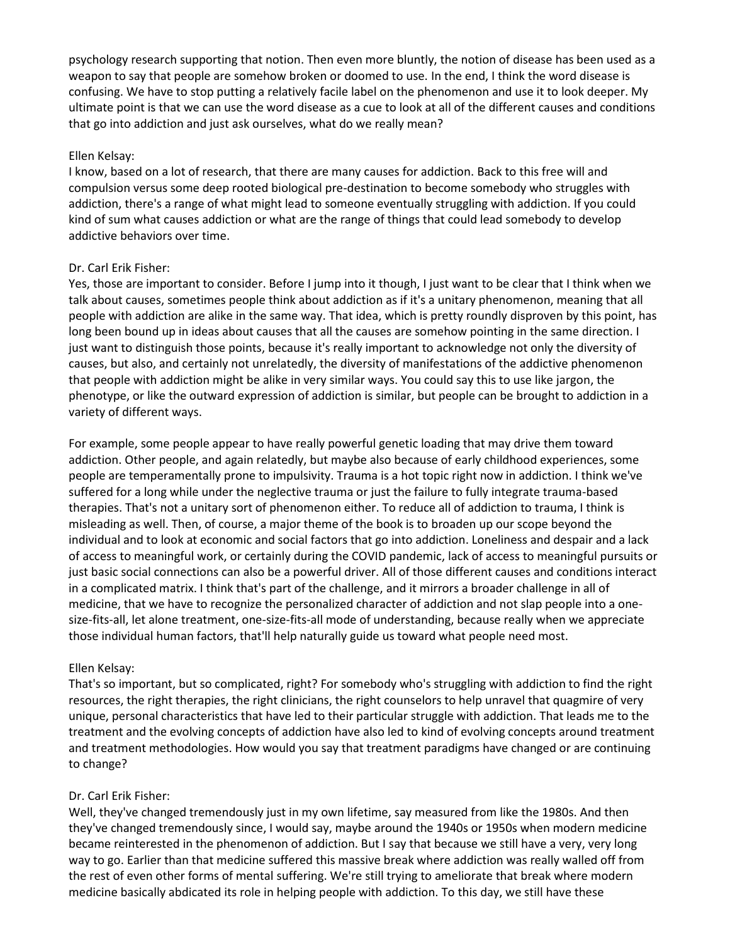psychology research supporting that notion. Then even more bluntly, the notion of disease has been used as a weapon to say that people are somehow broken or doomed to use. In the end, I think the word disease is confusing. We have to stop putting a relatively facile label on the phenomenon and use it to look deeper. My ultimate point is that we can use the word disease as a cue to look at all of the different causes and conditions that go into addiction and just ask ourselves, what do we really mean?

### Ellen Kelsay:

I know, based on a lot of research, that there are many causes for addiction. Back to this free will and compulsion versus some deep rooted biological pre-destination to become somebody who struggles with addiction, there's a range of what might lead to someone eventually struggling with addiction. If you could kind of sum what causes addiction or what are the range of things that could lead somebody to develop addictive behaviors over time.

## Dr. Carl Erik Fisher:

Yes, those are important to consider. Before I jump into it though, I just want to be clear that I think when we talk about causes, sometimes people think about addiction as if it's a unitary phenomenon, meaning that all people with addiction are alike in the same way. That idea, which is pretty roundly disproven by this point, has long been bound up in ideas about causes that all the causes are somehow pointing in the same direction. I just want to distinguish those points, because it's really important to acknowledge not only the diversity of causes, but also, and certainly not unrelatedly, the diversity of manifestations of the addictive phenomenon that people with addiction might be alike in very similar ways. You could say this to use like jargon, the phenotype, or like the outward expression of addiction is similar, but people can be brought to addiction in a variety of different ways.

For example, some people appear to have really powerful genetic loading that may drive them toward addiction. Other people, and again relatedly, but maybe also because of early childhood experiences, some people are temperamentally prone to impulsivity. Trauma is a hot topic right now in addiction. I think we've suffered for a long while under the neglective trauma or just the failure to fully integrate trauma-based therapies. That's not a unitary sort of phenomenon either. To reduce all of addiction to trauma, I think is misleading as well. Then, of course, a major theme of the book is to broaden up our scope beyond the individual and to look at economic and social factors that go into addiction. Loneliness and despair and a lack of access to meaningful work, or certainly during the COVID pandemic, lack of access to meaningful pursuits or just basic social connections can also be a powerful driver. All of those different causes and conditions interact in a complicated matrix. I think that's part of the challenge, and it mirrors a broader challenge in all of medicine, that we have to recognize the personalized character of addiction and not slap people into a onesize-fits-all, let alone treatment, one-size-fits-all mode of understanding, because really when we appreciate those individual human factors, that'll help naturally guide us toward what people need most.

## Ellen Kelsay:

That's so important, but so complicated, right? For somebody who's struggling with addiction to find the right resources, the right therapies, the right clinicians, the right counselors to help unravel that quagmire of very unique, personal characteristics that have led to their particular struggle with addiction. That leads me to the treatment and the evolving concepts of addiction have also led to kind of evolving concepts around treatment and treatment methodologies. How would you say that treatment paradigms have changed or are continuing to change?

## Dr. Carl Erik Fisher:

Well, they've changed tremendously just in my own lifetime, say measured from like the 1980s. And then they've changed tremendously since, I would say, maybe around the 1940s or 1950s when modern medicine became reinterested in the phenomenon of addiction. But I say that because we still have a very, very long way to go. Earlier than that medicine suffered this massive break where addiction was really walled off from the rest of even other forms of mental suffering. We're still trying to ameliorate that break where modern medicine basically abdicated its role in helping people with addiction. To this day, we still have these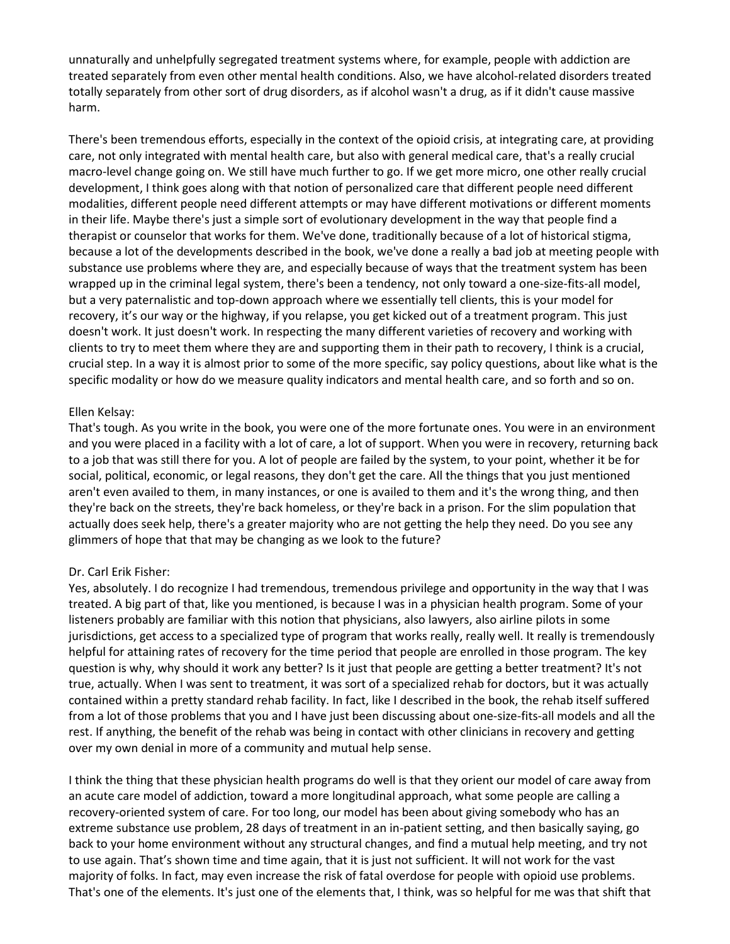unnaturally and unhelpfully segregated treatment systems where, for example, people with addiction are treated separately from even other mental health conditions. Also, we have alcohol-related disorders treated totally separately from other sort of drug disorders, as if alcohol wasn't a drug, as if it didn't cause massive harm.

There's been tremendous efforts, especially in the context of the opioid crisis, at integrating care, at providing care, not only integrated with mental health care, but also with general medical care, that's a really crucial macro-level change going on. We still have much further to go. If we get more micro, one other really crucial development, I think goes along with that notion of personalized care that different people need different modalities, different people need different attempts or may have different motivations or different moments in their life. Maybe there's just a simple sort of evolutionary development in the way that people find a therapist or counselor that works for them. We've done, traditionally because of a lot of historical stigma, because a lot of the developments described in the book, we've done a really a bad job at meeting people with substance use problems where they are, and especially because of ways that the treatment system has been wrapped up in the criminal legal system, there's been a tendency, not only toward a one-size-fits-all model, but a very paternalistic and top-down approach where we essentially tell clients, this is your model for recovery, it's our way or the highway, if you relapse, you get kicked out of a treatment program. This just doesn't work. It just doesn't work. In respecting the many different varieties of recovery and working with clients to try to meet them where they are and supporting them in their path to recovery, I think is a crucial, crucial step. In a way it is almost prior to some of the more specific, say policy questions, about like what is the specific modality or how do we measure quality indicators and mental health care, and so forth and so on.

## Ellen Kelsay:

That's tough. As you write in the book, you were one of the more fortunate ones. You were in an environment and you were placed in a facility with a lot of care, a lot of support. When you were in recovery, returning back to a job that was still there for you. A lot of people are failed by the system, to your point, whether it be for social, political, economic, or legal reasons, they don't get the care. All the things that you just mentioned aren't even availed to them, in many instances, or one is availed to them and it's the wrong thing, and then they're back on the streets, they're back homeless, or they're back in a prison. For the slim population that actually does seek help, there's a greater majority who are not getting the help they need. Do you see any glimmers of hope that that may be changing as we look to the future?

#### Dr. Carl Erik Fisher:

Yes, absolutely. I do recognize I had tremendous, tremendous privilege and opportunity in the way that I was treated. A big part of that, like you mentioned, is because I was in a physician health program. Some of your listeners probably are familiar with this notion that physicians, also lawyers, also airline pilots in some jurisdictions, get access to a specialized type of program that works really, really well. It really is tremendously helpful for attaining rates of recovery for the time period that people are enrolled in those program. The key question is why, why should it work any better? Is it just that people are getting a better treatment? It's not true, actually. When I was sent to treatment, it was sort of a specialized rehab for doctors, but it was actually contained within a pretty standard rehab facility. In fact, like I described in the book, the rehab itself suffered from a lot of those problems that you and I have just been discussing about one-size-fits-all models and all the rest. If anything, the benefit of the rehab was being in contact with other clinicians in recovery and getting over my own denial in more of a community and mutual help sense.

I think the thing that these physician health programs do well is that they orient our model of care away from an acute care model of addiction, toward a more longitudinal approach, what some people are calling a recovery-oriented system of care. For too long, our model has been about giving somebody who has an extreme substance use problem, 28 days of treatment in an in-patient setting, and then basically saying, go back to your home environment without any structural changes, and find a mutual help meeting, and try not to use again. That's shown time and time again, that it is just not sufficient. It will not work for the vast majority of folks. In fact, may even increase the risk of fatal overdose for people with opioid use problems. That's one of the elements. It's just one of the elements that, I think, was so helpful for me was that shift that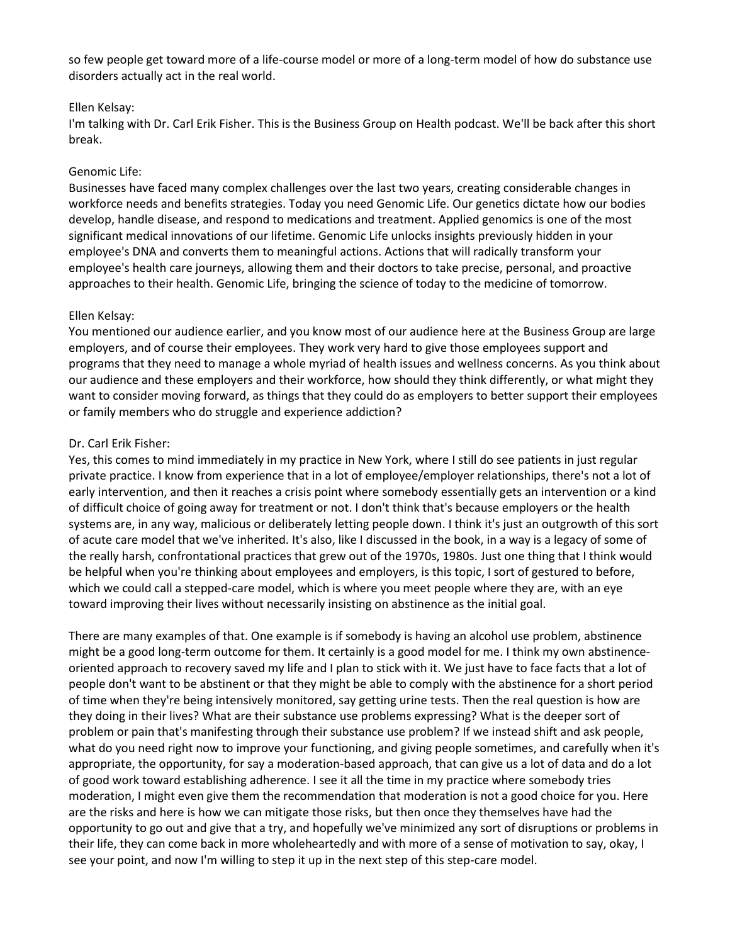so few people get toward more of a life-course model or more of a long-term model of how do substance use disorders actually act in the real world.

## Ellen Kelsay:

I'm talking with Dr. Carl Erik Fisher. This is the Business Group on Health podcast. We'll be back after this short break.

#### Genomic Life:

Businesses have faced many complex challenges over the last two years, creating considerable changes in workforce needs and benefits strategies. Today you need Genomic Life. Our genetics dictate how our bodies develop, handle disease, and respond to medications and treatment. Applied genomics is one of the most significant medical innovations of our lifetime. Genomic Life unlocks insights previously hidden in your employee's DNA and converts them to meaningful actions. Actions that will radically transform your employee's health care journeys, allowing them and their doctors to take precise, personal, and proactive approaches to their health. Genomic Life, bringing the science of today to the medicine of tomorrow.

### Ellen Kelsay:

You mentioned our audience earlier, and you know most of our audience here at the Business Group are large employers, and of course their employees. They work very hard to give those employees support and programs that they need to manage a whole myriad of health issues and wellness concerns. As you think about our audience and these employers and their workforce, how should they think differently, or what might they want to consider moving forward, as things that they could do as employers to better support their employees or family members who do struggle and experience addiction?

### Dr. Carl Erik Fisher:

Yes, this comes to mind immediately in my practice in New York, where I still do see patients in just regular private practice. I know from experience that in a lot of employee/employer relationships, there's not a lot of early intervention, and then it reaches a crisis point where somebody essentially gets an intervention or a kind of difficult choice of going away for treatment or not. I don't think that's because employers or the health systems are, in any way, malicious or deliberately letting people down. I think it's just an outgrowth of this sort of acute care model that we've inherited. It's also, like I discussed in the book, in a way is a legacy of some of the really harsh, confrontational practices that grew out of the 1970s, 1980s. Just one thing that I think would be helpful when you're thinking about employees and employers, is this topic, I sort of gestured to before, which we could call a stepped-care model, which is where you meet people where they are, with an eye toward improving their lives without necessarily insisting on abstinence as the initial goal.

There are many examples of that. One example is if somebody is having an alcohol use problem, abstinence might be a good long-term outcome for them. It certainly is a good model for me. I think my own abstinenceoriented approach to recovery saved my life and I plan to stick with it. We just have to face facts that a lot of people don't want to be abstinent or that they might be able to comply with the abstinence for a short period of time when they're being intensively monitored, say getting urine tests. Then the real question is how are they doing in their lives? What are their substance use problems expressing? What is the deeper sort of problem or pain that's manifesting through their substance use problem? If we instead shift and ask people, what do you need right now to improve your functioning, and giving people sometimes, and carefully when it's appropriate, the opportunity, for say a moderation-based approach, that can give us a lot of data and do a lot of good work toward establishing adherence. I see it all the time in my practice where somebody tries moderation, I might even give them the recommendation that moderation is not a good choice for you. Here are the risks and here is how we can mitigate those risks, but then once they themselves have had the opportunity to go out and give that a try, and hopefully we've minimized any sort of disruptions or problems in their life, they can come back in more wholeheartedly and with more of a sense of motivation to say, okay, I see your point, and now I'm willing to step it up in the next step of this step-care model.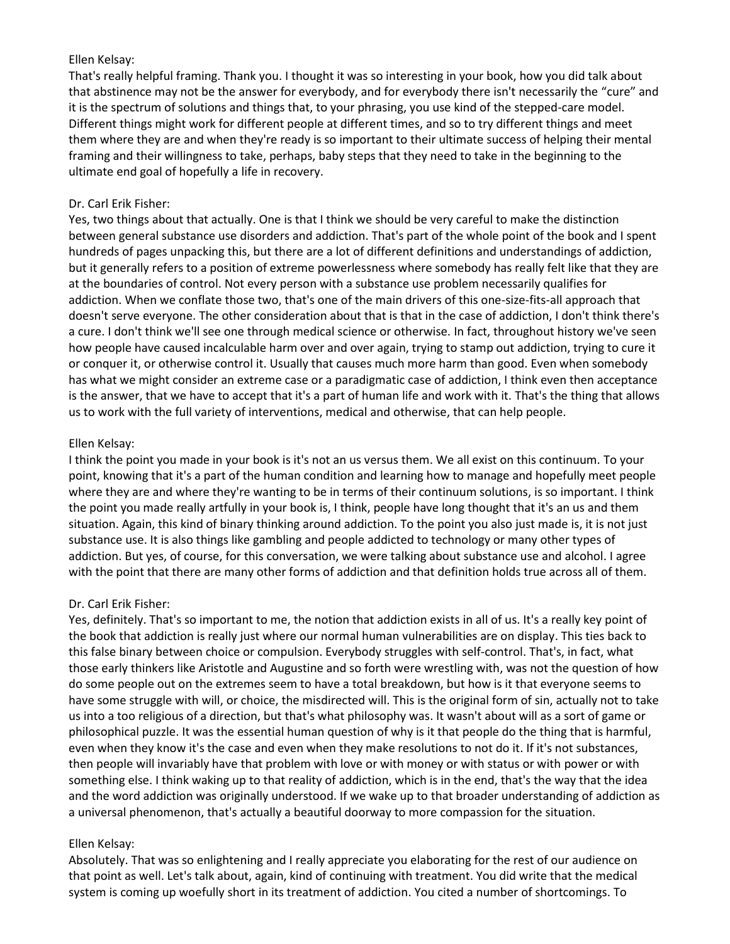### Ellen Kelsay:

That's really helpful framing. Thank you. I thought it was so interesting in your book, how you did talk about that abstinence may not be the answer for everybody, and for everybody there isn't necessarily the "cure" and it is the spectrum of solutions and things that, to your phrasing, you use kind of the stepped-care model. Different things might work for different people at different times, and so to try different things and meet them where they are and when they're ready is so important to their ultimate success of helping their mental framing and their willingness to take, perhaps, baby steps that they need to take in the beginning to the ultimate end goal of hopefully a life in recovery.

### Dr. Carl Erik Fisher:

Yes, two things about that actually. One is that I think we should be very careful to make the distinction between general substance use disorders and addiction. That's part of the whole point of the book and I spent hundreds of pages unpacking this, but there are a lot of different definitions and understandings of addiction, but it generally refers to a position of extreme powerlessness where somebody has really felt like that they are at the boundaries of control. Not every person with a substance use problem necessarily qualifies for addiction. When we conflate those two, that's one of the main drivers of this one-size-fits-all approach that doesn't serve everyone. The other consideration about that is that in the case of addiction, I don't think there's a cure. I don't think we'll see one through medical science or otherwise. In fact, throughout history we've seen how people have caused incalculable harm over and over again, trying to stamp out addiction, trying to cure it or conquer it, or otherwise control it. Usually that causes much more harm than good. Even when somebody has what we might consider an extreme case or a paradigmatic case of addiction, I think even then acceptance is the answer, that we have to accept that it's a part of human life and work with it. That's the thing that allows us to work with the full variety of interventions, medical and otherwise, that can help people.

### Ellen Kelsay:

I think the point you made in your book is it's not an us versus them. We all exist on this continuum. To your point, knowing that it's a part of the human condition and learning how to manage and hopefully meet people where they are and where they're wanting to be in terms of their continuum solutions, is so important. I think the point you made really artfully in your book is, I think, people have long thought that it's an us and them situation. Again, this kind of binary thinking around addiction. To the point you also just made is, it is not just substance use. It is also things like gambling and people addicted to technology or many other types of addiction. But yes, of course, for this conversation, we were talking about substance use and alcohol. I agree with the point that there are many other forms of addiction and that definition holds true across all of them.

## Dr. Carl Erik Fisher:

Yes, definitely. That's so important to me, the notion that addiction exists in all of us. It's a really key point of the book that addiction is really just where our normal human vulnerabilities are on display. This ties back to this false binary between choice or compulsion. Everybody struggles with self-control. That's, in fact, what those early thinkers like Aristotle and Augustine and so forth were wrestling with, was not the question of how do some people out on the extremes seem to have a total breakdown, but how is it that everyone seems to have some struggle with will, or choice, the misdirected will. This is the original form of sin, actually not to take us into a too religious of a direction, but that's what philosophy was. It wasn't about will as a sort of game or philosophical puzzle. It was the essential human question of why is it that people do the thing that is harmful, even when they know it's the case and even when they make resolutions to not do it. If it's not substances, then people will invariably have that problem with love or with money or with status or with power or with something else. I think waking up to that reality of addiction, which is in the end, that's the way that the idea and the word addiction was originally understood. If we wake up to that broader understanding of addiction as a universal phenomenon, that's actually a beautiful doorway to more compassion for the situation.

## Ellen Kelsay:

Absolutely. That was so enlightening and I really appreciate you elaborating for the rest of our audience on that point as well. Let's talk about, again, kind of continuing with treatment. You did write that the medical system is coming up woefully short in its treatment of addiction. You cited a number of shortcomings. To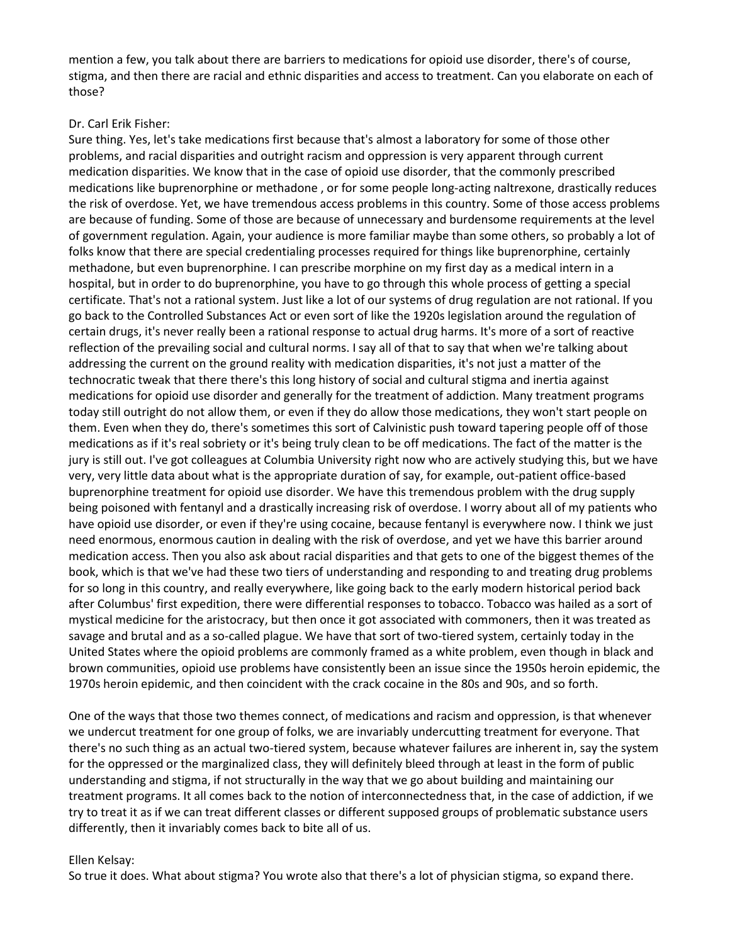mention a few, you talk about there are barriers to medications for opioid use disorder, there's of course, stigma, and then there are racial and ethnic disparities and access to treatment. Can you elaborate on each of those?

### Dr. Carl Erik Fisher:

Sure thing. Yes, let's take medications first because that's almost a laboratory for some of those other problems, and racial disparities and outright racism and oppression is very apparent through current medication disparities. We know that in the case of opioid use disorder, that the commonly prescribed medications like buprenorphine or methadone , or for some people long-acting naltrexone, drastically reduces the risk of overdose. Yet, we have tremendous access problems in this country. Some of those access problems are because of funding. Some of those are because of unnecessary and burdensome requirements at the level of government regulation. Again, your audience is more familiar maybe than some others, so probably a lot of folks know that there are special credentialing processes required for things like buprenorphine, certainly methadone, but even buprenorphine. I can prescribe morphine on my first day as a medical intern in a hospital, but in order to do buprenorphine, you have to go through this whole process of getting a special certificate. That's not a rational system. Just like a lot of our systems of drug regulation are not rational. If you go back to the Controlled Substances Act or even sort of like the 1920s legislation around the regulation of certain drugs, it's never really been a rational response to actual drug harms. It's more of a sort of reactive reflection of the prevailing social and cultural norms. I say all of that to say that when we're talking about addressing the current on the ground reality with medication disparities, it's not just a matter of the technocratic tweak that there there's this long history of social and cultural stigma and inertia against medications for opioid use disorder and generally for the treatment of addiction. Many treatment programs today still outright do not allow them, or even if they do allow those medications, they won't start people on them. Even when they do, there's sometimes this sort of Calvinistic push toward tapering people off of those medications as if it's real sobriety or it's being truly clean to be off medications. The fact of the matter is the jury is still out. I've got colleagues at Columbia University right now who are actively studying this, but we have very, very little data about what is the appropriate duration of say, for example, out-patient office-based buprenorphine treatment for opioid use disorder. We have this tremendous problem with the drug supply being poisoned with fentanyl and a drastically increasing risk of overdose. I worry about all of my patients who have opioid use disorder, or even if they're using cocaine, because fentanyl is everywhere now. I think we just need enormous, enormous caution in dealing with the risk of overdose, and yet we have this barrier around medication access. Then you also ask about racial disparities and that gets to one of the biggest themes of the book, which is that we've had these two tiers of understanding and responding to and treating drug problems for so long in this country, and really everywhere, like going back to the early modern historical period back after Columbus' first expedition, there were differential responses to tobacco. Tobacco was hailed as a sort of mystical medicine for the aristocracy, but then once it got associated with commoners, then it was treated as savage and brutal and as a so-called plague. We have that sort of two-tiered system, certainly today in the United States where the opioid problems are commonly framed as a white problem, even though in black and brown communities, opioid use problems have consistently been an issue since the 1950s heroin epidemic, the 1970s heroin epidemic, and then coincident with the crack cocaine in the 80s and 90s, and so forth.

One of the ways that those two themes connect, of medications and racism and oppression, is that whenever we undercut treatment for one group of folks, we are invariably undercutting treatment for everyone. That there's no such thing as an actual two-tiered system, because whatever failures are inherent in, say the system for the oppressed or the marginalized class, they will definitely bleed through at least in the form of public understanding and stigma, if not structurally in the way that we go about building and maintaining our treatment programs. It all comes back to the notion of interconnectedness that, in the case of addiction, if we try to treat it as if we can treat different classes or different supposed groups of problematic substance users differently, then it invariably comes back to bite all of us.

### Ellen Kelsay:

So true it does. What about stigma? You wrote also that there's a lot of physician stigma, so expand there.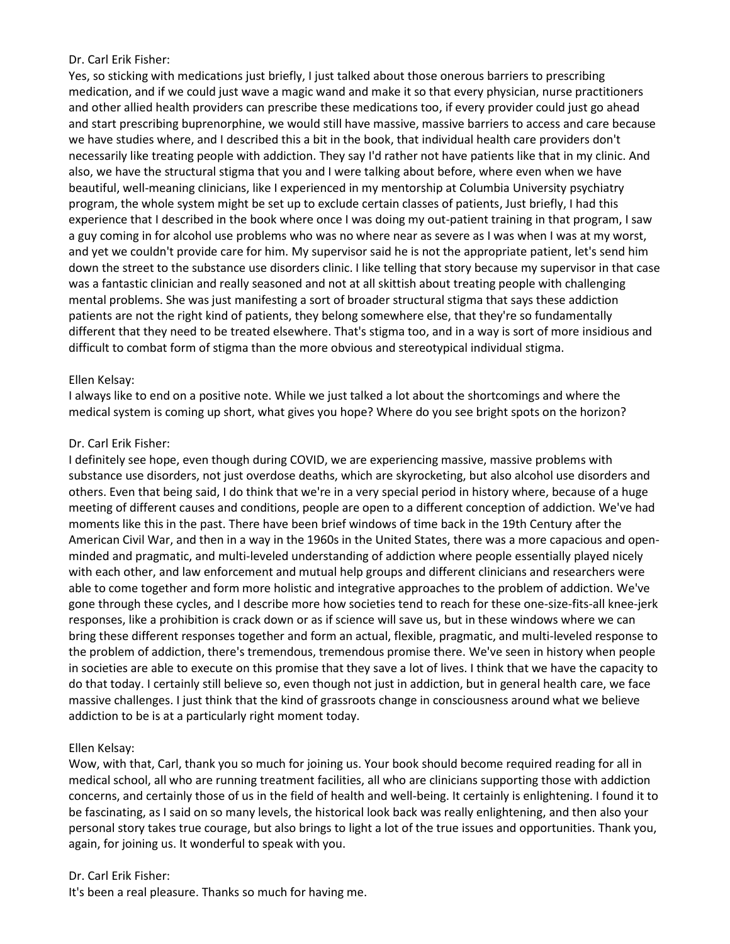### Dr. Carl Erik Fisher:

Yes, so sticking with medications just briefly, I just talked about those onerous barriers to prescribing medication, and if we could just wave a magic wand and make it so that every physician, nurse practitioners and other allied health providers can prescribe these medications too, if every provider could just go ahead and start prescribing buprenorphine, we would still have massive, massive barriers to access and care because we have studies where, and I described this a bit in the book, that individual health care providers don't necessarily like treating people with addiction. They say I'd rather not have patients like that in my clinic. And also, we have the structural stigma that you and I were talking about before, where even when we have beautiful, well-meaning clinicians, like I experienced in my mentorship at Columbia University psychiatry program, the whole system might be set up to exclude certain classes of patients, Just briefly, I had this experience that I described in the book where once I was doing my out-patient training in that program, I saw a guy coming in for alcohol use problems who was no where near as severe as I was when I was at my worst, and yet we couldn't provide care for him. My supervisor said he is not the appropriate patient, let's send him down the street to the substance use disorders clinic. I like telling that story because my supervisor in that case was a fantastic clinician and really seasoned and not at all skittish about treating people with challenging mental problems. She was just manifesting a sort of broader structural stigma that says these addiction patients are not the right kind of patients, they belong somewhere else, that they're so fundamentally different that they need to be treated elsewhere. That's stigma too, and in a way is sort of more insidious and difficult to combat form of stigma than the more obvious and stereotypical individual stigma.

### Ellen Kelsay:

I always like to end on a positive note. While we just talked a lot about the shortcomings and where the medical system is coming up short, what gives you hope? Where do you see bright spots on the horizon?

### Dr. Carl Erik Fisher:

I definitely see hope, even though during COVID, we are experiencing massive, massive problems with substance use disorders, not just overdose deaths, which are skyrocketing, but also alcohol use disorders and others. Even that being said, I do think that we're in a very special period in history where, because of a huge meeting of different causes and conditions, people are open to a different conception of addiction. We've had moments like this in the past. There have been brief windows of time back in the 19th Century after the American Civil War, and then in a way in the 1960s in the United States, there was a more capacious and openminded and pragmatic, and multi-leveled understanding of addiction where people essentially played nicely with each other, and law enforcement and mutual help groups and different clinicians and researchers were able to come together and form more holistic and integrative approaches to the problem of addiction. We've gone through these cycles, and I describe more how societies tend to reach for these one-size-fits-all knee-jerk responses, like a prohibition is crack down or as if science will save us, but in these windows where we can bring these different responses together and form an actual, flexible, pragmatic, and multi-leveled response to the problem of addiction, there's tremendous, tremendous promise there. We've seen in history when people in societies are able to execute on this promise that they save a lot of lives. I think that we have the capacity to do that today. I certainly still believe so, even though not just in addiction, but in general health care, we face massive challenges. I just think that the kind of grassroots change in consciousness around what we believe addiction to be is at a particularly right moment today.

## Ellen Kelsay:

Wow, with that, Carl, thank you so much for joining us. Your book should become required reading for all in medical school, all who are running treatment facilities, all who are clinicians supporting those with addiction concerns, and certainly those of us in the field of health and well-being. It certainly is enlightening. I found it to be fascinating, as I said on so many levels, the historical look back was really enlightening, and then also your personal story takes true courage, but also brings to light a lot of the true issues and opportunities. Thank you, again, for joining us. It wonderful to speak with you.

#### Dr. Carl Erik Fisher:

It's been a real pleasure. Thanks so much for having me.